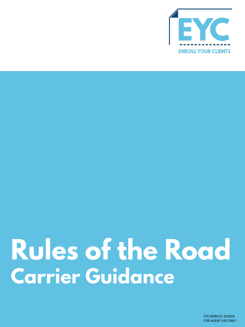

# **Rules of the Road Carrier Guidance**

EYC-RORCV2-101819 FOR AGENT USE ONLY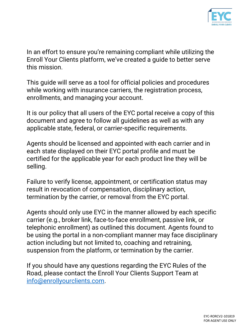

In an effort to ensure you're remaining compliant while utilizing the Enroll Your Clients platform, we've created a guide to better serve this mission.

This guide will serve as a tool for official policies and procedures while working with insurance carriers, the registration process, enrollments, and managing your account.

It is our policy that all users of the EYC portal receive a copy of this document and agree to follow all guidelines as well as with any applicable state, federal, or carrier-specific requirements.

Agents should be licensed and appointed with each carrier and in each state displayed on their EYC portal profile and must be certified for the applicable year for each product line they will be selling.

Failure to verify license, appointment, or certification status may result in revocation of compensation, disciplinary action, termination by the carrier, or removal from the EYC portal.

Agents should only use EYC in the manner allowed by each specific carrier (e.g., broker link, face-to-face enrollment, passive link, or telephonic enrollment) as outlined this document. Agents found to be using the portal in a non-compliant manner may face disciplinary action including but not limited to, coaching and retraining, suspension from the platform, or termination by the carrier.

If you should have any questions regarding the EYC Rules of the Road, please contact the Enroll Your Clients Support Team at [info@enrollyourclients.com](mailto:info@enrollyourclients.com).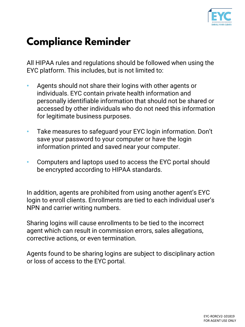

# **Compliance Reminder**

All HIPAA rules and regulations should be followed when using the EYC platform. This includes, but is not limited to:

- Agents should not share their logins with other agents or individuals. EYC contain private health information and personally identifiable information that should not be shared or accessed by other individuals who do not need this information for legitimate business purposes.
- Take measures to safeguard your EYC login information. Don't save your password to your computer or have the login information printed and saved near your computer.
- Computers and laptops used to access the EYC portal should be encrypted according to HIPAA standards.

In addition, agents are prohibited from using another agent's EYC login to enroll clients. Enrollments are tied to each individual user's NPN and carrier writing numbers.

Sharing logins will cause enrollments to be tied to the incorrect agent which can result in commission errors, sales allegations, corrective actions, or even termination.

Agents found to be sharing logins are subject to disciplinary action or loss of access to the EYC portal.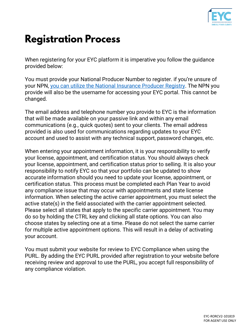

### **Registration Process**

When registering for your EYC platform it is imperative you follow the guidance provided below:

You must provide your National Producer Number to register. if you're unsure of your NPN, [you can utilize the National Insurance Producer Registry.](https://www.nipr.com/PacNpnSearch.htm) The NPN you provide will also be the username for accessing your EYC portal. This cannot be changed.

The email address and telephone number you provide to EYC is the information that will be made available on your passive link and within any email communications (e.g., quick quotes) sent to your clients. The email address provided is also used for communications regarding updates to your EYC account and used to assist with any technical support, password changes, etc.

When entering your appointment information, it is your responsibility to verify your license, appointment, and certification status. You should always check your license, appointment, and certification status prior to selling. It is also your responsibility to notify EYC so that your portfolio can be updated to show accurate information should you need to update your license, appointment, or certification status. This process must be completed each Plan Year to avoid any compliance issue that may occur with appointments and state license information. When selecting the active carrier appointment, you must select the active state(s) in the field associated with the carrier appointment selected. Please select all states that apply to the specific carrier appointment. You may do so by holding the CTRL key and clicking all state options. You can also choose states by selecting one at a time. Please do not select the same carrier for multiple active appointment options. This will result in a delay of activating your account.

You must submit your website for review to EYC Compliance when using the PURL. By adding the EYC PURL provided after registration to your website before receiving review and approval to use the PURL, you accept full responsibility of any compliance violation.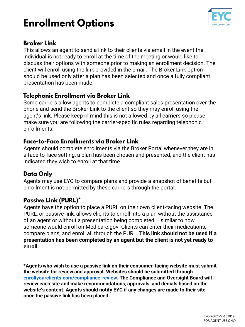# **Enrollment Options**



### **Broker Link**

This allows an agent to send a link to their clients via email in the event the individual is not ready to enroll at the time of the meeting or would like to discuss their options with someone prior to making an enrollment decision. The client will enroll using the link provided in the email. The Broker Link option should be used only after a plan has been selected and once a fully compliant presentation has been made.

### Telephonic Enrollment via Broker Link

Some carriers allow agents to complete a compliant sales presentation over the phone and send the Broker Link to the client so they may enroll using the agent's link. Please keep in mind this is not allowed by all carriers so please make sure you are following the carrier-specific rules regarding telephonic enrollments.

### Face-to-Face Enrollments via Broker Link

Agents should complete enrollments via the Broker Portal whenever they are in a face-to-face setting, a plan has been chosen and presented, and the client has indicated they wish to enroll at that time.

### **Data Only**

Agents may use EYC to compare plans and provide a snapshot of benefits but enrollment is not permitted by these carriers through the portal.

### **Passive Link (PURL)\***

Agents have the option to place a PURL on their own client-facing website. The PURL, or passive link, allows clients to enroll into a plan without the assistance of an agent or without a presentation being completed – similar to how someone would enroll on Medicare.gov. Clients can enter their medications, compare plans, and enroll all through the PURL. **This link should not be used if a presentation has been completed by an agent but the client is not yet ready to enroll.**

**\*Agents who wish to use a passive link on their consumer-facing website must submit the website for review and approval. Websites should be submitted through [enrollyourclients.com/compliance-review](http://www.enrollyourclients.com/compliance-review/). The Compliance and Oversight Board will review each site and make recommendations, approvals, and denials based on the website's content. Agents should notify EYC if any changes are made to their site once the passive link has been placed.**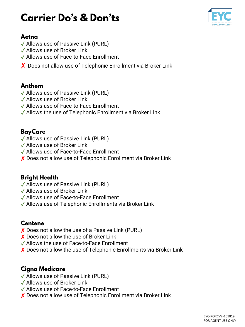## **Carrier Do's & Don'ts**



### Aetna

- ✓ Allows use of Passive Link (PURL)
- ✓ Allows use of Broker Link
- ✓ Allows use of Face-to-Face Enrollment
- X Does not allow use of Telephonic Enrollment via Broker Link

### Anthem

- ✓ Allows use of Passive Link (PURL)
- ✓ Allows use of Broker Link
- ✓ Allows use of Face-to-Face Enrollment
- ✓ Allows the use of Telephonic Enrollment via Broker Link

### **BayCare**

- ✓ Allows use of Passive Link (PURL)
- ✓ Allows use of Broker Link
- ✓ Allows use of Face-to-Face Enrollment
- ✘ Does not allow use of Telephonic Enrollment via Broker Link

### **Bright Health**

- ✓ Allows use of Passive Link (PURL)
- ✓ Allows use of Broker Link
- ✓ Allows use of Face-to-Face Enrollment
- ✓ Allows use of Telephonic Enrollments via Broker Link

### **Centene**

- ✘ Does not allow the use of a Passive Link (PURL)
- ✘ Does not allow the use of Broker Link
- ✓ Allows the use of Face-to-Face Enrollment
- ✘ Does not allow the use of Telephonic Enrollments via Broker Link

### **Cigna Medicare**

- ✓ Allows use of Passive Link (PURL)
- ✓ Allows use of Broker Link
- ✓ Allows use of Face-to-Face Enrollment
- ✘ Does not allow use of Telephonic Enrollment via Broker Link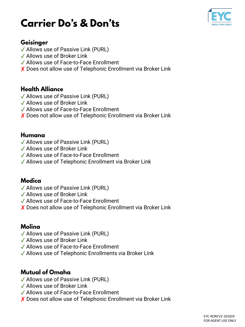### **Carrier Do's & Don'ts**



### Geisinger

- ✓ Allows use of Passive Link (PURL)
- ✓ Allows use of Broker Link
- ✓ Allows use of Face-to-Face Enrollment
- ✘ Does not allow use of Telephonic Enrollment via Broker Link

#### **Health Alliance**

- ✓ Allows use of Passive Link (PURL)
- ✓ Allows use of Broker Link
- ✓ Allows use of Face-to-Face Enrollment
- ✘ Does not allow use of Telephonic Enrollment via Broker Link

#### Humana

- ✓ Allows use of Passive Link (PURL)
- ✓ Allows use of Broker Link
- ✓ Allows use of Face-to-Face Enrollment
- ✓ Allows use of Telephonic Enrollment via Broker Link

### **Medica**

- ✓ Allows use of Passive Link (PURL)
- ✓ Allows use of Broker Link
- ✓ Allows use of Face-to-Face Enrollment
- ✘ Does not allow use of Telephonic Enrollment via Broker Link

### Molina

- ✓ Allows use of Passive Link (PURL)
- ✓ Allows use of Broker Link
- ✓ Allows use of Face-to-Face Enrollment
- ✓ Allows use of Telephonic Enrollments via Broker Link

### **Mutual of Omaha**

- ✓ Allows use of Passive Link (PURL)
- ✓ Allows use of Broker Link
- ✓ Allows use of Face-to-Face Enrollment
- ✘ Does not allow use of Telephonic Enrollment via Broker Link